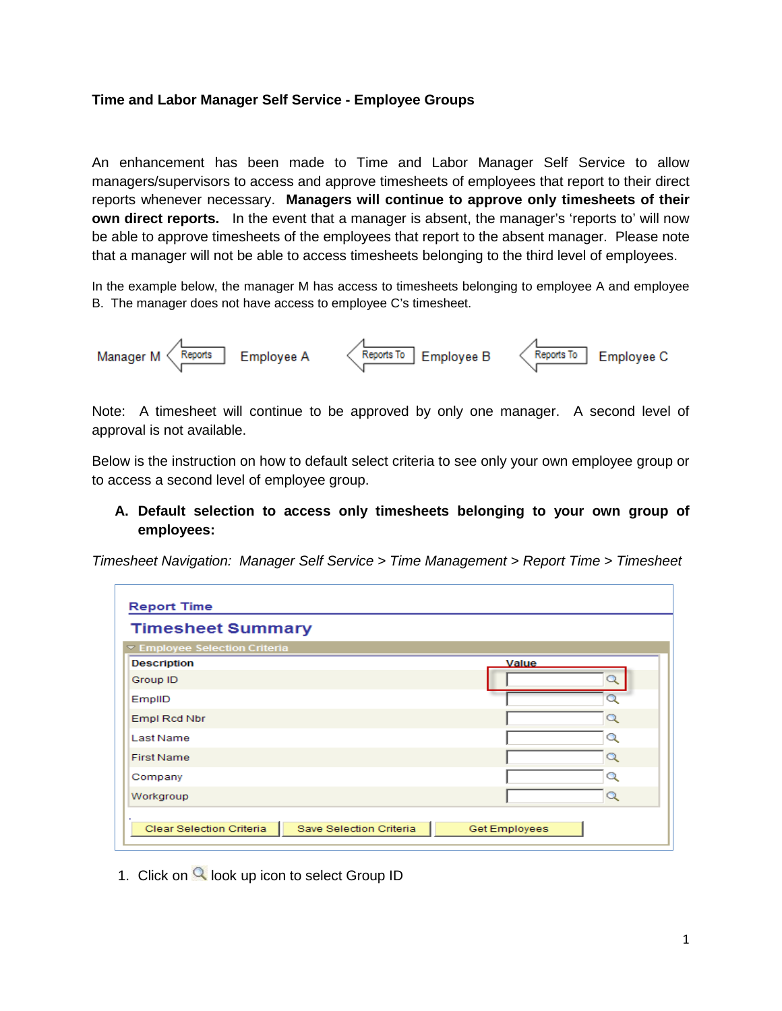## **Time and Labor Manager Self Service - Employee Groups**

An enhancement has been made to Time and Labor Manager Self Service to allow managers/supervisors to access and approve timesheets of employees that report to their direct reports whenever necessary. **Managers will continue to approve only timesheets of their own direct reports.** In the event that a manager is absent, the manager's 'reports to' will now be able to approve timesheets of the employees that report to the absent manager. Please note that a manager will not be able to access timesheets belonging to the third level of employees.

In the example below, the manager M has access to timesheets belonging to employee A and employee B. The manager does not have access to employee C's timesheet.



Note: A timesheet will continue to be approved by only one manager. A second level of approval is not available.

Below is the instruction on how to default select criteria to see only your own employee group or to access a second level of employee group.

**A. Default selection to access only timesheets belonging to your own group of employees:**

*Timesheet Navigation: Manager Self Service > Time Management > Report Time > Timesheet* 

| <b>Report Time</b>                                  |                      |  |  |  |  |  |  |  |  |
|-----------------------------------------------------|----------------------|--|--|--|--|--|--|--|--|
| <b>Timesheet Summary</b>                            |                      |  |  |  |  |  |  |  |  |
| ▼ Employee Selection Criteria                       |                      |  |  |  |  |  |  |  |  |
| <b>Description</b>                                  | Value                |  |  |  |  |  |  |  |  |
| Group ID                                            | - 10                 |  |  |  |  |  |  |  |  |
| EmplID                                              | n                    |  |  |  |  |  |  |  |  |
| Empl Rcd Nbr                                        | $\alpha$             |  |  |  |  |  |  |  |  |
| <b>Last Name</b>                                    | Q                    |  |  |  |  |  |  |  |  |
| <b>First Name</b>                                   | Q                    |  |  |  |  |  |  |  |  |
| Company                                             | Q                    |  |  |  |  |  |  |  |  |
| Workgroup                                           | $\alpha$             |  |  |  |  |  |  |  |  |
| Save Selection Criteria<br>Clear Selection Criteria | <b>Get Employees</b> |  |  |  |  |  |  |  |  |

1. Click on  $\mathbb Q$  look up icon to select Group ID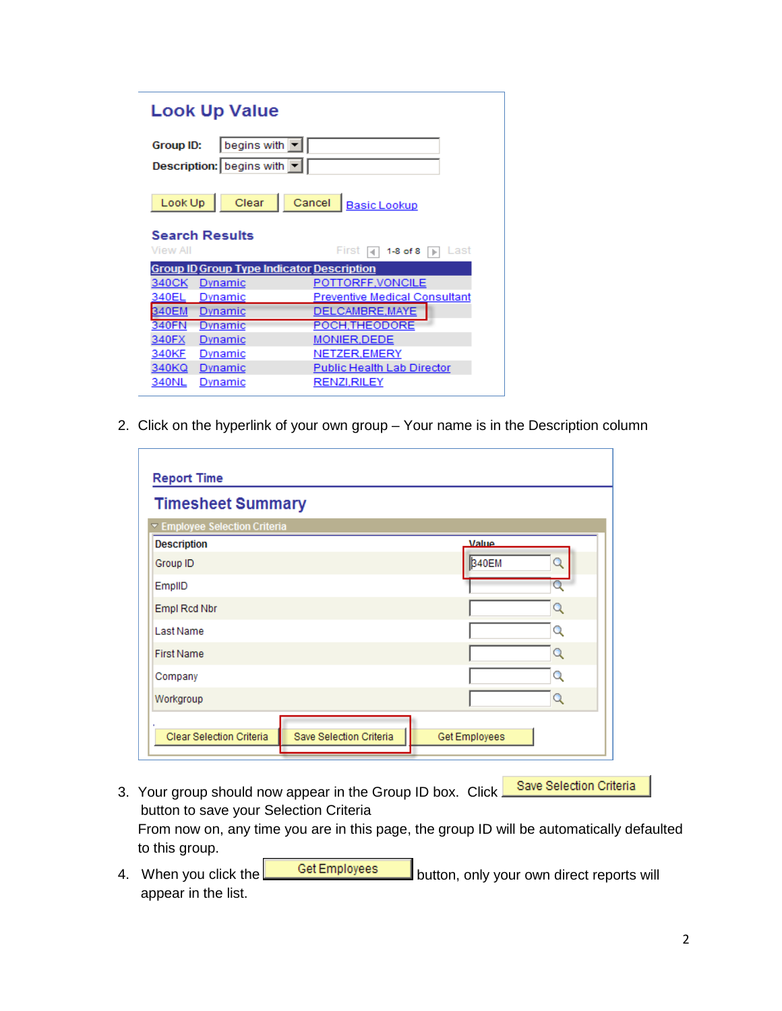| <b>Look Up Value</b>     |                                           |                                                  |  |  |  |  |  |  |  |  |
|--------------------------|-------------------------------------------|--------------------------------------------------|--|--|--|--|--|--|--|--|
| begins with<br>Group ID: |                                           |                                                  |  |  |  |  |  |  |  |  |
|                          | Description:   begins with $ \mathbf{v} $ |                                                  |  |  |  |  |  |  |  |  |
| Look Up                  | Clear                                     | Cancel<br><b>Basic Lookup</b>                    |  |  |  |  |  |  |  |  |
| <b>View All</b>          | <b>Search Results</b>                     | First<br>1-8 of 8<br>l ast<br>IЪ                 |  |  |  |  |  |  |  |  |
|                          |                                           | <b>Group ID Group Type Indicator Description</b> |  |  |  |  |  |  |  |  |
| 340CK                    | Dynamic                                   | POTTORFF, VONCILE                                |  |  |  |  |  |  |  |  |
| 340EL                    | Dynamic                                   | <b>Preventive Medical Consultant</b>             |  |  |  |  |  |  |  |  |
|                          |                                           |                                                  |  |  |  |  |  |  |  |  |
| 340EM                    | Dynamic                                   | DELCAMBRE, MAYE                                  |  |  |  |  |  |  |  |  |
| 340FN                    | Dynamic                                   | POCH, THEODORE                                   |  |  |  |  |  |  |  |  |
| 340FX                    | Dynamic                                   | MONIER, DEDE                                     |  |  |  |  |  |  |  |  |
| 340KF                    | Dynamic                                   | NETZER, EMERY                                    |  |  |  |  |  |  |  |  |
| 340KQ                    | Dynamic                                   | Public Health Lab Director                       |  |  |  |  |  |  |  |  |

2. Click on the hyperlink of your own group – Your name is in the Description column

| <b>Timesheet Summary</b><br>▼ Employee Selection Criteria<br>Value<br><b>Description</b><br>340EM<br>Group ID<br>EmplID<br>Empl Rcd Nbr<br>Q<br>Last Name<br>Q<br><b>First Name</b><br>О<br>Q<br>Company<br>Q<br>Workgroup | <b>Report Time</b> |  |
|----------------------------------------------------------------------------------------------------------------------------------------------------------------------------------------------------------------------------|--------------------|--|
|                                                                                                                                                                                                                            |                    |  |
|                                                                                                                                                                                                                            |                    |  |
|                                                                                                                                                                                                                            |                    |  |
|                                                                                                                                                                                                                            |                    |  |
|                                                                                                                                                                                                                            |                    |  |
|                                                                                                                                                                                                                            |                    |  |
|                                                                                                                                                                                                                            |                    |  |
|                                                                                                                                                                                                                            |                    |  |
|                                                                                                                                                                                                                            |                    |  |
|                                                                                                                                                                                                                            |                    |  |
| Save Selection Criteria<br>Clear Selection Criteria<br>Get Employees                                                                                                                                                       |                    |  |

- Save Selection Criteria 3. Your group should now appear in the Group ID box. Click. button to save your Selection Criteria From now on, any time you are in this page, the group ID will be automatically defaulted to this group.
- 4. When you click the **CHE** Get Employees button, only your own direct reports will appear in the list.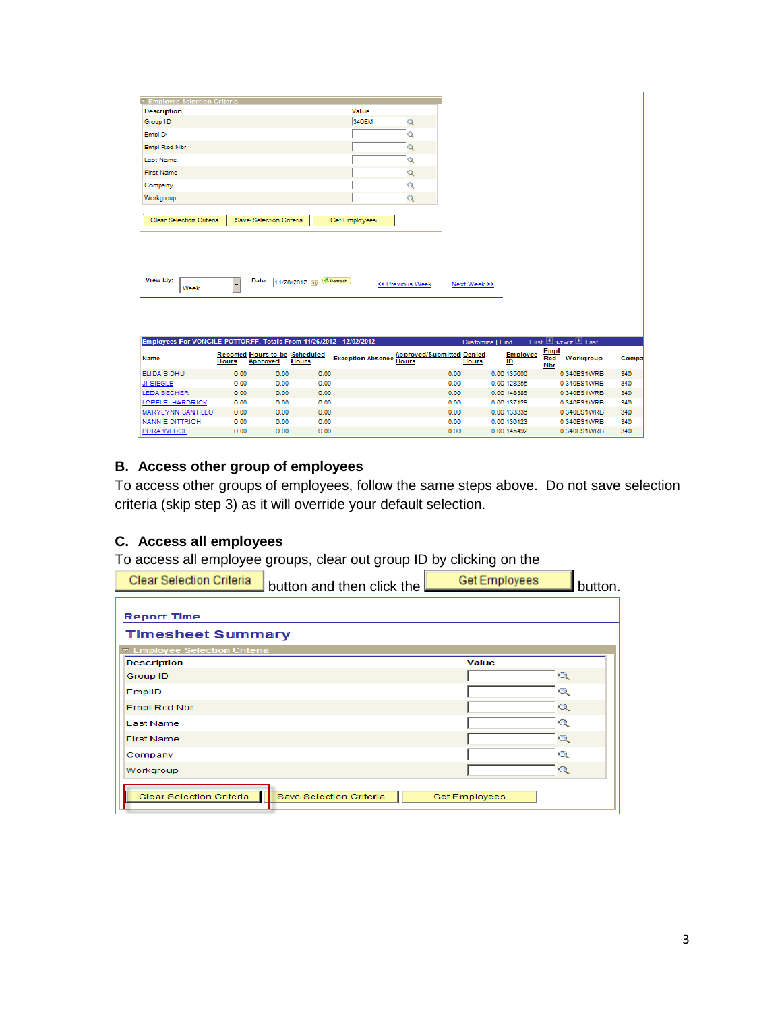| <b>Description</b><br>Group ID<br>EmplID<br>Empl Red Nbr<br><b>Last Name</b><br><b>First Name</b><br>Company<br>Workgroup | Value<br>340EM       |  |
|---------------------------------------------------------------------------------------------------------------------------|----------------------|--|
|                                                                                                                           |                      |  |
|                                                                                                                           |                      |  |
|                                                                                                                           |                      |  |
|                                                                                                                           |                      |  |
|                                                                                                                           |                      |  |
|                                                                                                                           |                      |  |
|                                                                                                                           |                      |  |
|                                                                                                                           |                      |  |
|                                                                                                                           |                      |  |
| Save Selection Criteria<br><b>Clear Selection Criteria</b>                                                                | <b>Get Employees</b> |  |

| View By:<br>Week |  | Date: 11/28/2012   DRefresh |  | << Previous Week | Next Week >> |
|------------------|--|-----------------------------|--|------------------|--------------|
|------------------|--|-----------------------------|--|------------------|--------------|

| First $\Box$ 1.7 of 7 $\Box$ Last<br>Employees For VONCILE POTTORFF. Totals From 11/26/2012 - 12/02/2012<br><b>Customize I Find</b> |              |                                                   |              |                          |                                                  |       |                       |                                               |       |
|-------------------------------------------------------------------------------------------------------------------------------------|--------------|---------------------------------------------------|--------------|--------------------------|--------------------------------------------------|-------|-----------------------|-----------------------------------------------|-------|
| Name                                                                                                                                | <b>Hours</b> | <b>Reported Hours to be Scheduled</b><br>Approved | <b>Hours</b> | <b>Exception Absence</b> | <b>Approved/Submitted Denied</b><br><b>Hours</b> | Hours | <b>Employee</b><br>ID | <b>Empl</b><br>Red<br>Workgroup<br><b>Nbr</b> | Compa |
| ELIDA SIDHU                                                                                                                         | 0.00         | 0.00                                              | 0.00         |                          | 0.00                                             |       | 0.00.135600           | 0.340ES1WRB                                   | 340   |
| <b>JI SIEGLE</b>                                                                                                                    | 0.00         | 0.00                                              | 0.00         |                          | 0.00                                             |       | 0.00 128255           | 0.340ES1WRB                                   | 340   |
| LEDA BECHER                                                                                                                         | 0.00         | 0.00                                              | 0.00         |                          | 0.00                                             |       | 0.00 148389           | 0.340ES1WRB                                   | 340   |
| LORELEI HARDRICK                                                                                                                    | 0.00         | 0.00                                              | 0.00         |                          | 0.00                                             |       | 0.00 137129           | 0 340ES1WRB                                   | 340   |
| <b>MARYLYNN SANTILLO</b>                                                                                                            | 0.00         | 0.00                                              | 0.00         |                          | 0.00                                             |       | 0.00 133338           | 0 340ES1WRB                                   | 340   |
| NANNIE DITTRICH                                                                                                                     | 0.00         | 0.00                                              | 0.00         |                          | 0.00                                             |       | 0.00 130123           | 0 340ES1WRB                                   | 340   |
| <b>PURA WEDGE</b>                                                                                                                   | 0.00         | 0.00                                              | 0.00         |                          | 0.00                                             |       | 0.00 145492           | 0 340ES1WRB                                   | 340   |

## **B. Access other group of employees**

To access other groups of employees, follow the same steps above. Do not save selection criteria (skip step 3) as it will override your default selection.

## **C. Access all employees**

To access all employee groups, clear out group ID by clicking on the

| Clear Selection Criteria | <b>J</b> button and then click the $L$ | Get Employees | ™button. |
|--------------------------|----------------------------------------|---------------|----------|
|                          |                                        |               |          |

| <b>Report Time</b>                                  |                      |          |  |  |  |  |  |  |  |
|-----------------------------------------------------|----------------------|----------|--|--|--|--|--|--|--|
| <b>Timesheet Summary</b>                            |                      |          |  |  |  |  |  |  |  |
| ▼ Employee Selection Criteria                       |                      |          |  |  |  |  |  |  |  |
| <b>Description</b>                                  | Value                |          |  |  |  |  |  |  |  |
| Group ID                                            |                      | Q        |  |  |  |  |  |  |  |
| EmplID                                              |                      | Q        |  |  |  |  |  |  |  |
| Empl Rcd Nbr                                        |                      | $\circ$  |  |  |  |  |  |  |  |
| <b>Last Name</b>                                    |                      | Q        |  |  |  |  |  |  |  |
| <b>First Name</b>                                   |                      | $\alpha$ |  |  |  |  |  |  |  |
| Company                                             |                      | Q        |  |  |  |  |  |  |  |
| Workgroup                                           |                      | $\alpha$ |  |  |  |  |  |  |  |
| Clear Selection Criteria<br>Save Selection Criteria | <b>Get Employees</b> |          |  |  |  |  |  |  |  |